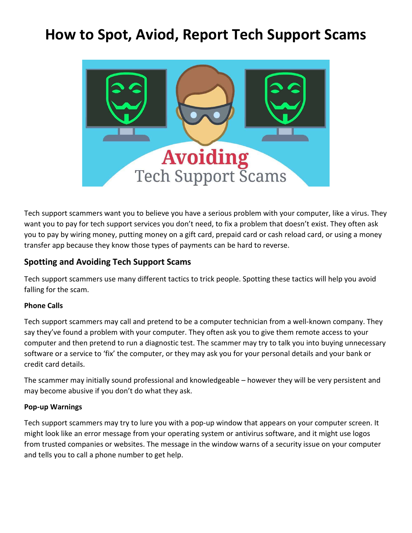# **How to Spot, Aviod, Report Tech Support Scams**



Tech support scammers want you to believe you have a serious problem with your computer, like a virus. They want you to pay for tech support services you don't need, to fix a problem that doesn't exist. They often ask you to pay by wiring money, putting money on a gift card, prepaid card or cash reload card, or using a money transfer app because they know those types of payments can be hard to reverse.

## **Spotting and Avoiding Tech Support Scams**

Tech support scammers use many different tactics to trick people. Spotting these tactics will help you avoid falling for the scam.

#### **Phone Calls**

Tech support scammers may call and pretend to be a computer technician from a well-known company. They say they've found a problem with your computer. They often ask you to give them remote access to your computer and then pretend to run a diagnostic test. The scammer may try to talk you into buying unnecessary software or a service to 'fix' the computer, or they may ask you for your personal details and your bank or credit card details.

The scammer may initially sound professional and knowledgeable – however they will be very persistent and may become abusive if you don't do what they ask.

#### **Pop-up Warnings**

Tech support scammers may try to lure you with a pop-up window that appears on your computer screen. It might look like an error message from your operating system or antivirus software, and it might use logos from trusted companies or websites. The message in the window warns of a security issue on your computer and tells you to call a phone number to get help.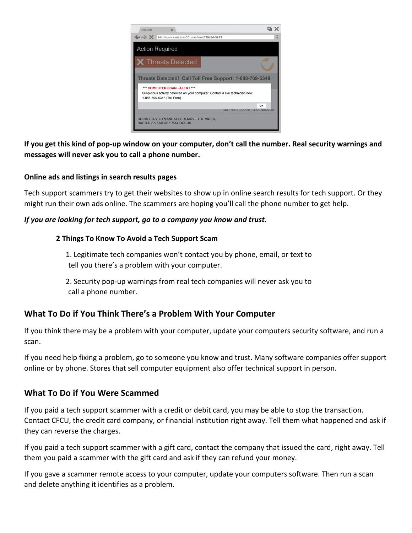

**If you get this kind of pop-up window on your computer, don't call the number. Real security warnings and messages will never ask you to call a phone number.**

#### **Online ads and listings in search results pages**

Tech support scammers try to get their websites to show up in online search results for tech support. Or they might run their own ads online. The scammers are hoping you'll call the phone number to get help.

#### *If you are looking for tech support, go to a company you know and trust.*

#### **2 Things To Know To Avoid a Tech Support Scam**

1. Legitimate tech companies won't contact you by phone, email, or text to tell you there's a problem with your computer.

2. Security pop-up warnings from real tech companies will never ask you to call a phone number.

## **What To Do if You Think There's a Problem With Your Computer**

If you think there may be a problem with your computer, update your computers security software, and run a scan.

If you need help fixing a problem, go to someone you know and trust. Many software companies offer support online or by phone. Stores that sell computer equipment also offer technical support in person.

## **What To Do if You Were Scammed**

If you paid a tech support scammer with a credit or debit card, you may be able to stop the transaction. Contact CFCU, the credit card company, or financial institution right away. Tell them what happened and ask if they can reverse the charges.

If you paid a tech support scammer with a gift card, contact the company that issued the card, right away. Tell them you paid a scammer with the gift card and ask if they can refund your money.

If you gave a scammer remote access to your computer, update your computers software. Then run a scan and delete anything it identifies as a problem.